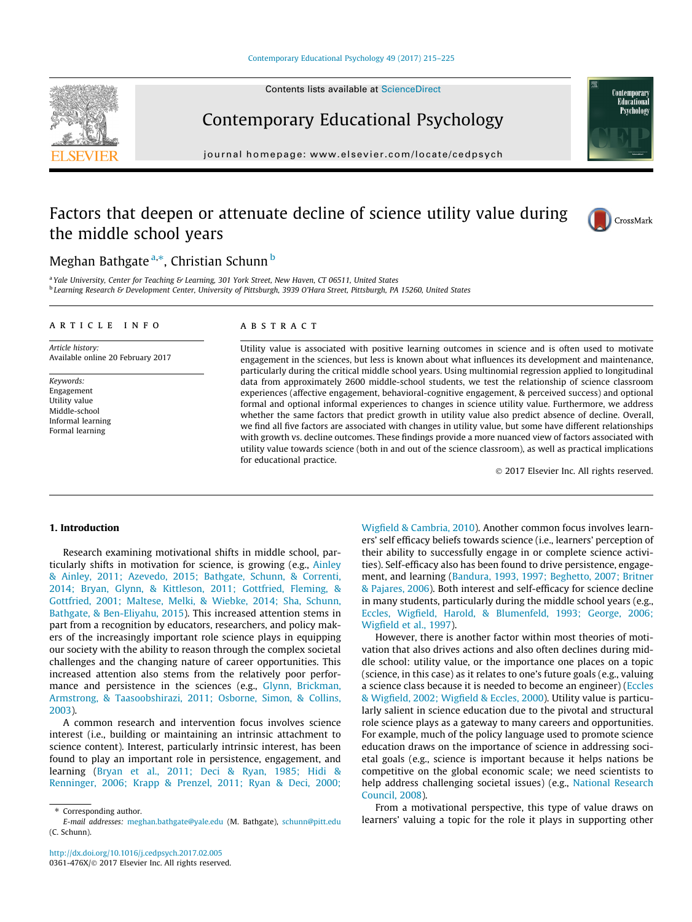Contents lists available at [ScienceDirect](http://www.sciencedirect.com/science/journal/0361476X)





# Factors that deepen or attenuate decline of science utility value during the middle school years



Contemporar **Educational** Psychology

# Meghan Bathgate <sup>a,</sup>\*, Christian Schunn <sup>b</sup>

<sup>a</sup> Yale University, Center for Teaching & Learning, 301 York Street, New Haven, CT 06511, United States <sup>b</sup> Learning Research & Development Center, University of Pittsburgh, 3939 O'Hara Street, Pittsburgh, PA 15260, United States

## article info

Article history: Available online 20 February 2017

Keywords: Engagement Utility value Middle-school Informal learning Formal learning

# ABSTRACT

Utility value is associated with positive learning outcomes in science and is often used to motivate engagement in the sciences, but less is known about what influences its development and maintenance, particularly during the critical middle school years. Using multinomial regression applied to longitudinal data from approximately 2600 middle-school students, we test the relationship of science classroom experiences (affective engagement, behavioral-cognitive engagement, & perceived success) and optional formal and optional informal experiences to changes in science utility value. Furthermore, we address whether the same factors that predict growth in utility value also predict absence of decline. Overall, we find all five factors are associated with changes in utility value, but some have different relationships with growth vs. decline outcomes. These findings provide a more nuanced view of factors associated with utility value towards science (both in and out of the science classroom), as well as practical implications for educational practice.

2017 Elsevier Inc. All rights reserved.

# 1. Introduction

Research examining motivational shifts in middle school, particularly shifts in motivation for science, is growing (e.g., [Ainley](#page-8-0) [& Ainley, 2011; Azevedo, 2015; Bathgate, Schunn, & Correnti,](#page-8-0) [2014; Bryan, Glynn, & Kittleson, 2011; Gottfried, Fleming, &](#page-8-0) [Gottfried, 2001; Maltese, Melki, & Wiebke, 2014; Sha, Schunn,](#page-8-0) [Bathgate, & Ben-Eliyahu, 2015](#page-8-0)). This increased attention stems in part from a recognition by educators, researchers, and policy makers of the increasingly important role science plays in equipping our society with the ability to reason through the complex societal challenges and the changing nature of career opportunities. This increased attention also stems from the relatively poor performance and persistence in the sciences (e.g., [Glynn, Brickman,](#page-9-0) [Armstrong, & Taasoobshirazi, 2011; Osborne, Simon, & Collins,](#page-9-0) [2003](#page-9-0)).

A common research and intervention focus involves science interest (i.e., building or maintaining an intrinsic attachment to science content). Interest, particularly intrinsic interest, has been found to play an important role in persistence, engagement, and learning ([Bryan et al., 2011; Deci & Ryan, 1985; Hidi &](#page-9-0) [Renninger, 2006; Krapp & Prenzel, 2011; Ryan & Deci, 2000;](#page-9-0) [Wigfield & Cambria, 2010\)](#page-9-0). Another common focus involves learners' self efficacy beliefs towards science (i.e., learners' perception of their ability to successfully engage in or complete science activities). Self-efficacy also has been found to drive persistence, engagement, and learning [\(Bandura, 1993, 1997; Beghetto, 2007; Britner](#page-9-0) [& Pajares, 2006\)](#page-9-0). Both interest and self-efficacy for science decline in many students, particularly during the middle school years (e.g., [Eccles, Wigfield, Harold, & Blumenfeld, 1993; George, 2006;](#page-9-0) [Wigfield et al., 1997](#page-9-0)).

However, there is another factor within most theories of motivation that also drives actions and also often declines during middle school: utility value, or the importance one places on a topic (science, in this case) as it relates to one's future goals (e.g., valuing a science class because it is needed to become an engineer) ([Eccles](#page-9-0) [& Wigfield, 2002; Wigfield & Eccles, 2000\)](#page-9-0). Utility value is particularly salient in science education due to the pivotal and structural role science plays as a gateway to many careers and opportunities. For example, much of the policy language used to promote science education draws on the importance of science in addressing societal goals (e.g., science is important because it helps nations be competitive on the global economic scale; we need scientists to help address challenging societal issues) (e.g., [National Research](#page-9-0) [Council, 2008](#page-9-0)).

From a motivational perspective, this type of value draws on learners' valuing a topic for the role it plays in supporting other

Corresponding author.

E-mail addresses: [meghan.bathgate@yale.edu](mailto:meghan.bathgate@yale.edu) (M. Bathgate), [schunn@pitt.edu](mailto:schunn@pitt.edu) (C. Schunn).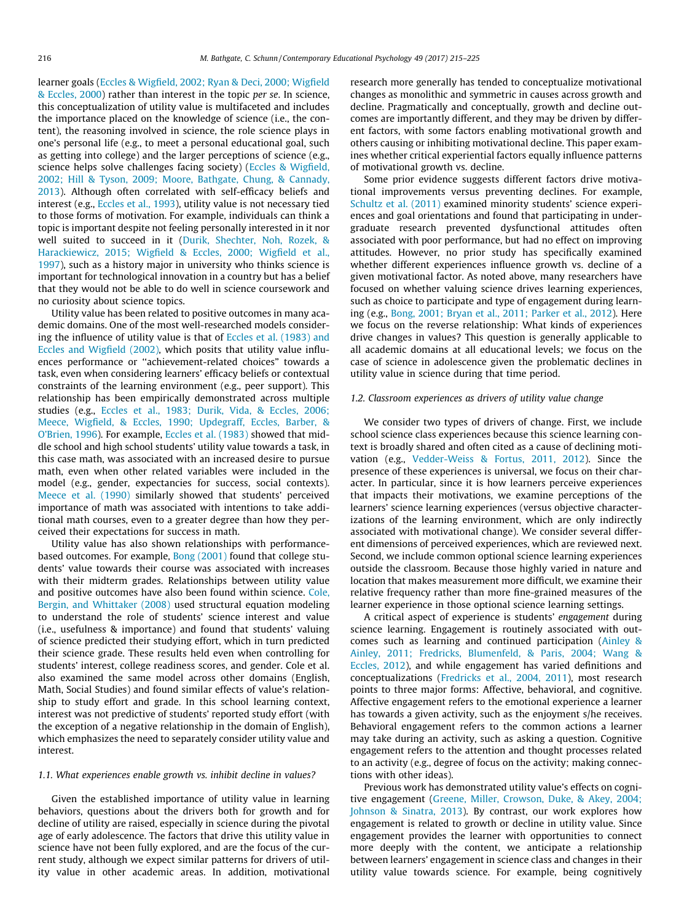learner goals [\(Eccles & Wigfield, 2002; Ryan & Deci, 2000; Wigfield](#page-9-0) [& Eccles, 2000](#page-9-0)) rather than interest in the topic per se. In science, this conceptualization of utility value is multifaceted and includes the importance placed on the knowledge of science (i.e., the content), the reasoning involved in science, the role science plays in one's personal life (e.g., to meet a personal educational goal, such as getting into college) and the larger perceptions of science (e.g., science helps solve challenges facing society) ([Eccles & Wigfield,](#page-9-0) [2002; Hill & Tyson, 2009; Moore, Bathgate, Chung, & Cannady,](#page-9-0) [2013\)](#page-9-0). Although often correlated with self-efficacy beliefs and interest (e.g., [Eccles et al., 1993](#page-9-0)), utility value is not necessary tied to those forms of motivation. For example, individuals can think a topic is important despite not feeling personally interested in it nor well suited to succeed in it [\(Durik, Shechter, Noh, Rozek, &](#page-9-0) [Harackiewicz, 2015; Wigfield & Eccles, 2000; Wigfield et al.,](#page-9-0) [1997\)](#page-9-0), such as a history major in university who thinks science is important for technological innovation in a country but has a belief that they would not be able to do well in science coursework and no curiosity about science topics.

Utility value has been related to positive outcomes in many academic domains. One of the most well-researched models considering the influence of utility value is that of [Eccles et al. \(1983\) and](#page-9-0) [Eccles and Wigfield \(2002\),](#page-9-0) which posits that utility value influences performance or ''achievement-related choices" towards a task, even when considering learners' efficacy beliefs or contextual constraints of the learning environment (e.g., peer support). This relationship has been empirically demonstrated across multiple studies (e.g., [Eccles et al., 1983; Durik, Vida, & Eccles, 2006;](#page-9-0) [Meece, Wigfield, & Eccles, 1990; Updegraff, Eccles, Barber, &](#page-9-0) [O'Brien, 1996\)](#page-9-0). For example, [Eccles et al. \(1983\)](#page-9-0) showed that middle school and high school students' utility value towards a task, in this case math, was associated with an increased desire to pursue math, even when other related variables were included in the model (e.g., gender, expectancies for success, social contexts). [Meece et al. \(1990\)](#page-9-0) similarly showed that students' perceived importance of math was associated with intentions to take additional math courses, even to a greater degree than how they perceived their expectations for success in math.

Utility value has also shown relationships with performancebased outcomes. For example, [Bong \(2001\)](#page-9-0) found that college students' value towards their course was associated with increases with their midterm grades. Relationships between utility value and positive outcomes have also been found within science. [Cole,](#page-9-0) [Bergin, and Whittaker \(2008\)](#page-9-0) used structural equation modeling to understand the role of students' science interest and value (i.e., usefulness & importance) and found that students' valuing of science predicted their studying effort, which in turn predicted their science grade. These results held even when controlling for students' interest, college readiness scores, and gender. Cole et al. also examined the same model across other domains (English, Math, Social Studies) and found similar effects of value's relationship to study effort and grade. In this school learning context, interest was not predictive of students' reported study effort (with the exception of a negative relationship in the domain of English), which emphasizes the need to separately consider utility value and interest.

#### 1.1. What experiences enable growth vs. inhibit decline in values?

Given the established importance of utility value in learning behaviors, questions about the drivers both for growth and for decline of utility are raised, especially in science during the pivotal age of early adolescence. The factors that drive this utility value in science have not been fully explored, and are the focus of the current study, although we expect similar patterns for drivers of utility value in other academic areas. In addition, motivational research more generally has tended to conceptualize motivational changes as monolithic and symmetric in causes across growth and decline. Pragmatically and conceptually, growth and decline outcomes are importantly different, and they may be driven by different factors, with some factors enabling motivational growth and others causing or inhibiting motivational decline. This paper examines whether critical experiential factors equally influence patterns of motivational growth vs. decline.

Some prior evidence suggests different factors drive motivational improvements versus preventing declines. For example, [Schultz et al. \(2011\)](#page-10-0) examined minority students' science experiences and goal orientations and found that participating in undergraduate research prevented dysfunctional attitudes often associated with poor performance, but had no effect on improving attitudes. However, no prior study has specifically examined whether different experiences influence growth vs. decline of a given motivational factor. As noted above, many researchers have focused on whether valuing science drives learning experiences, such as choice to participate and type of engagement during learning (e.g., [Bong, 2001; Bryan et al., 2011; Parker et al., 2012](#page-9-0)). Here we focus on the reverse relationship: What kinds of experiences drive changes in values? This question is generally applicable to all academic domains at all educational levels; we focus on the case of science in adolescence given the problematic declines in utility value in science during that time period.

#### 1.2. Classroom experiences as drivers of utility value change

We consider two types of drivers of change. First, we include school science class experiences because this science learning context is broadly shared and often cited as a cause of declining motivation (e.g., [Vedder-Weiss & Fortus, 2011, 2012\)](#page-10-0). Since the presence of these experiences is universal, we focus on their character. In particular, since it is how learners perceive experiences that impacts their motivations, we examine perceptions of the learners' science learning experiences (versus objective characterizations of the learning environment, which are only indirectly associated with motivational change). We consider several different dimensions of perceived experiences, which are reviewed next. Second, we include common optional science learning experiences outside the classroom. Because those highly varied in nature and location that makes measurement more difficult, we examine their relative frequency rather than more fine-grained measures of the learner experience in those optional science learning settings.

A critical aspect of experience is students' engagement during science learning. Engagement is routinely associated with outcomes such as learning and continued participation [\(Ainley &](#page-8-0) [Ainley, 2011; Fredricks, Blumenfeld, & Paris, 2004; Wang &](#page-8-0) [Eccles, 2012](#page-8-0)), and while engagement has varied definitions and conceptualizations ([Fredricks et al., 2004, 2011\)](#page-9-0), most research points to three major forms: Affective, behavioral, and cognitive. Affective engagement refers to the emotional experience a learner has towards a given activity, such as the enjoyment s/he receives. Behavioral engagement refers to the common actions a learner may take during an activity, such as asking a question. Cognitive engagement refers to the attention and thought processes related to an activity (e.g., degree of focus on the activity; making connections with other ideas).

Previous work has demonstrated utility value's effects on cognitive engagement ([Greene, Miller, Crowson, Duke, & Akey, 2004;](#page-9-0) [Johnson & Sinatra, 2013](#page-9-0)). By contrast, our work explores how engagement is related to growth or decline in utility value. Since engagement provides the learner with opportunities to connect more deeply with the content, we anticipate a relationship between learners' engagement in science class and changes in their utility value towards science. For example, being cognitively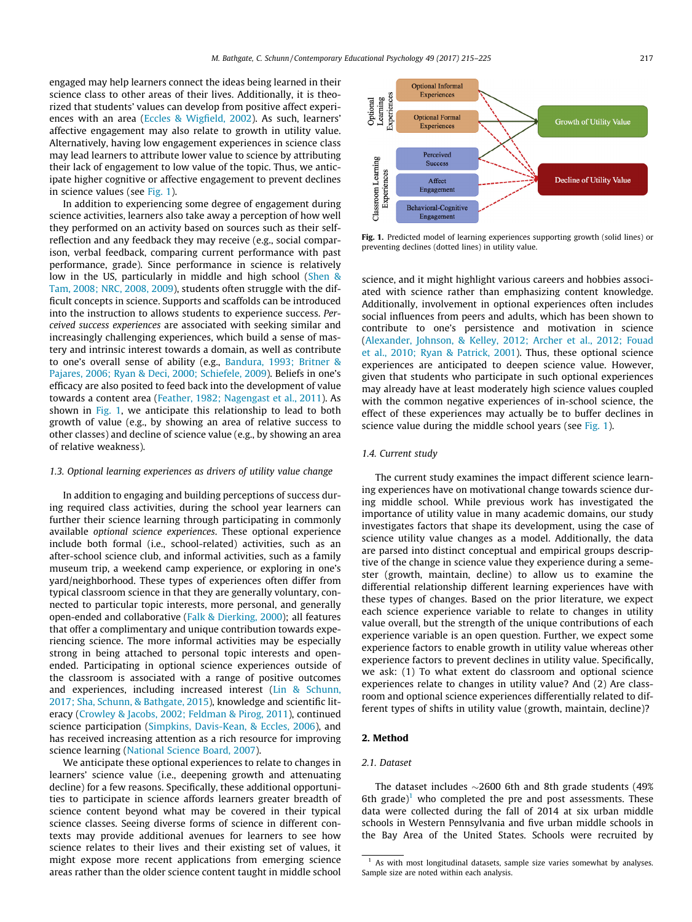engaged may help learners connect the ideas being learned in their science class to other areas of their lives. Additionally, it is theorized that students' values can develop from positive affect experiences with an area [\(Eccles & Wigfield, 2002\)](#page-9-0). As such, learners' affective engagement may also relate to growth in utility value. Alternatively, having low engagement experiences in science class may lead learners to attribute lower value to science by attributing their lack of engagement to low value of the topic. Thus, we anticipate higher cognitive or affective engagement to prevent declines in science values (see Fig. 1).

In addition to experiencing some degree of engagement during science activities, learners also take away a perception of how well they performed on an activity based on sources such as their selfreflection and any feedback they may receive (e.g., social comparison, verbal feedback, comparing current performance with past performance, grade). Since performance in science is relatively low in the US, particularly in middle and high school [\(Shen &](#page-10-0) [Tam, 2008; NRC, 2008, 2009](#page-10-0)), students often struggle with the difficult concepts in science. Supports and scaffolds can be introduced into the instruction to allows students to experience success. Perceived success experiences are associated with seeking similar and increasingly challenging experiences, which build a sense of mastery and intrinsic interest towards a domain, as well as contribute to one's overall sense of ability (e.g., [Bandura, 1993; Britner &](#page-9-0) [Pajares, 2006; Ryan & Deci, 2000; Schiefele, 2009\)](#page-9-0). Beliefs in one's efficacy are also posited to feed back into the development of value towards a content area ([Feather, 1982; Nagengast et al., 2011](#page-9-0)). As shown in Fig. 1, we anticipate this relationship to lead to both growth of value (e.g., by showing an area of relative success to other classes) and decline of science value (e.g., by showing an area of relative weakness).

#### 1.3. Optional learning experiences as drivers of utility value change

In addition to engaging and building perceptions of success during required class activities, during the school year learners can further their science learning through participating in commonly available optional science experiences. These optional experience include both formal (i.e., school-related) activities, such as an after-school science club, and informal activities, such as a family museum trip, a weekend camp experience, or exploring in one's yard/neighborhood. These types of experiences often differ from typical classroom science in that they are generally voluntary, connected to particular topic interests, more personal, and generally open-ended and collaborative [\(Falk & Dierking, 2000\)](#page-9-0); all features that offer a complimentary and unique contribution towards experiencing science. The more informal activities may be especially strong in being attached to personal topic interests and openended. Participating in optional science experiences outside of the classroom is associated with a range of positive outcomes and experiences, including increased interest [\(Lin & Schunn,](#page-9-0) [2017; Sha, Schunn, & Bathgate, 2015\)](#page-9-0), knowledge and scientific literacy [\(Crowley & Jacobs, 2002; Feldman & Pirog, 2011](#page-9-0)), continued science participation ([Simpkins, Davis-Kean, & Eccles, 2006](#page-10-0)), and has received increasing attention as a rich resource for improving science learning [\(National Science Board, 2007](#page-9-0)).

We anticipate these optional experiences to relate to changes in learners' science value (i.e., deepening growth and attenuating decline) for a few reasons. Specifically, these additional opportunities to participate in science affords learners greater breadth of science content beyond what may be covered in their typical science classes. Seeing diverse forms of science in different contexts may provide additional avenues for learners to see how science relates to their lives and their existing set of values, it might expose more recent applications from emerging science areas rather than the older science content taught in middle school



Fig. 1. Predicted model of learning experiences supporting growth (solid lines) or preventing declines (dotted lines) in utility value.

science, and it might highlight various careers and hobbies associated with science rather than emphasizing content knowledge. Additionally, involvement in optional experiences often includes social influences from peers and adults, which has been shown to contribute to one's persistence and motivation in science ([Alexander, Johnson, & Kelley, 2012; Archer et al., 2012; Fouad](#page-9-0) [et al., 2010; Ryan & Patrick, 2001](#page-9-0)). Thus, these optional science experiences are anticipated to deepen science value. However, given that students who participate in such optional experiences may already have at least moderately high science values coupled with the common negative experiences of in-school science, the effect of these experiences may actually be to buffer declines in science value during the middle school years (see Fig. 1).

#### 1.4. Current study

The current study examines the impact different science learning experiences have on motivational change towards science during middle school. While previous work has investigated the importance of utility value in many academic domains, our study investigates factors that shape its development, using the case of science utility value changes as a model. Additionally, the data are parsed into distinct conceptual and empirical groups descriptive of the change in science value they experience during a semester (growth, maintain, decline) to allow us to examine the differential relationship different learning experiences have with these types of changes. Based on the prior literature, we expect each science experience variable to relate to changes in utility value overall, but the strength of the unique contributions of each experience variable is an open question. Further, we expect some experience factors to enable growth in utility value whereas other experience factors to prevent declines in utility value. Specifically, we ask: (1) To what extent do classroom and optional science experiences relate to changes in utility value? And (2) Are classroom and optional science experiences differentially related to different types of shifts in utility value (growth, maintain, decline)?

#### 2. Method

#### 2.1. Dataset

The dataset includes  $\sim$ 2600 6th and 8th grade students (49%) 6th grade)<sup>1</sup> who completed the pre and post assessments. These data were collected during the fall of 2014 at six urban middle schools in Western Pennsylvania and five urban middle schools in the Bay Area of the United States. Schools were recruited by

 $1$  As with most longitudinal datasets, sample size varies somewhat by analyses. Sample size are noted within each analysis.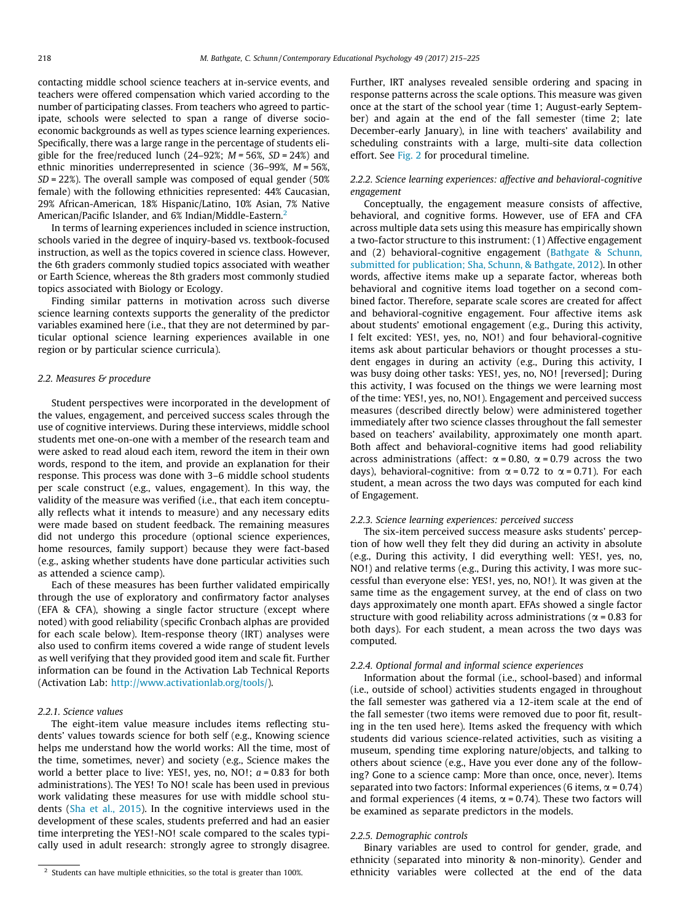contacting middle school science teachers at in-service events, and teachers were offered compensation which varied according to the number of participating classes. From teachers who agreed to participate, schools were selected to span a range of diverse socioeconomic backgrounds as well as types science learning experiences. Specifically, there was a large range in the percentage of students eligible for the free/reduced lunch (24–92%;  $M = 56$ %,  $SD = 24$ %) and ethnic minorities underrepresented in science (36–99%, M = 56%,  $SD = 22\%)$ . The overall sample was composed of equal gender (50%) female) with the following ethnicities represented: 44% Caucasian, 29% African-American, 18% Hispanic/Latino, 10% Asian, 7% Native American/Pacific Islander, and 6% Indian/Middle-Eastern.<sup>2</sup>

In terms of learning experiences included in science instruction, schools varied in the degree of inquiry-based vs. textbook-focused instruction, as well as the topics covered in science class. However, the 6th graders commonly studied topics associated with weather or Earth Science, whereas the 8th graders most commonly studied topics associated with Biology or Ecology.

Finding similar patterns in motivation across such diverse science learning contexts supports the generality of the predictor variables examined here (i.e., that they are not determined by particular optional science learning experiences available in one region or by particular science curricula).

#### 2.2. Measures & procedure

Student perspectives were incorporated in the development of the values, engagement, and perceived success scales through the use of cognitive interviews. During these interviews, middle school students met one-on-one with a member of the research team and were asked to read aloud each item, reword the item in their own words, respond to the item, and provide an explanation for their response. This process was done with 3–6 middle school students per scale construct (e.g., values, engagement). In this way, the validity of the measure was verified (i.e., that each item conceptually reflects what it intends to measure) and any necessary edits were made based on student feedback. The remaining measures did not undergo this procedure (optional science experiences, home resources, family support) because they were fact-based (e.g., asking whether students have done particular activities such as attended a science camp).

Each of these measures has been further validated empirically through the use of exploratory and confirmatory factor analyses (EFA & CFA), showing a single factor structure (except where noted) with good reliability (specific Cronbach alphas are provided for each scale below). Item-response theory (IRT) analyses were also used to confirm items covered a wide range of student levels as well verifying that they provided good item and scale fit. Further information can be found in the Activation Lab Technical Reports (Activation Lab: <http://www.activationlab.org/tools/>).

### 2.2.1. Science values

The eight-item value measure includes items reflecting students' values towards science for both self (e.g., Knowing science helps me understand how the world works: All the time, most of the time, sometimes, never) and society (e.g., Science makes the world a better place to live: YES!, yes, no, NO!;  $a = 0.83$  for both administrations). The YES! To NO! scale has been used in previous work validating these measures for use with middle school students [\(Sha et al., 2015\)](#page-10-0). In the cognitive interviews used in the development of these scales, students preferred and had an easier time interpreting the YES!-NO! scale compared to the scales typically used in adult research: strongly agree to strongly disagree. Further, IRT analyses revealed sensible ordering and spacing in response patterns across the scale options. This measure was given once at the start of the school year (time 1; August-early September) and again at the end of the fall semester (time 2; late December-early January), in line with teachers' availability and scheduling constraints with a large, multi-site data collection effort. See [Fig. 2](#page-4-0) for procedural timeline.

## 2.2.2. Science learning experiences: affective and behavioral-cognitive engagement

Conceptually, the engagement measure consists of affective, behavioral, and cognitive forms. However, use of EFA and CFA across multiple data sets using this measure has empirically shown a two-factor structure to this instrument: (1) Affective engagement and (2) behavioral-cognitive engagement ([Bathgate & Schunn,](#page-9-0) [submitted for publication; Sha, Schunn, & Bathgate, 2012](#page-9-0)). In other words, affective items make up a separate factor, whereas both behavioral and cognitive items load together on a second combined factor. Therefore, separate scale scores are created for affect and behavioral-cognitive engagement. Four affective items ask about students' emotional engagement (e.g., During this activity, I felt excited: YES!, yes, no, NO!) and four behavioral-cognitive items ask about particular behaviors or thought processes a student engages in during an activity (e.g., During this activity, I was busy doing other tasks: YES!, yes, no, NO! [reversed]; During this activity, I was focused on the things we were learning most of the time: YES!, yes, no, NO!). Engagement and perceived success measures (described directly below) were administered together immediately after two science classes throughout the fall semester based on teachers' availability, approximately one month apart. Both affect and behavioral-cognitive items had good reliability across administrations (affect:  $\alpha$  = 0.80,  $\alpha$  = 0.79 across the two days), behavioral-cognitive: from  $\alpha$  = 0.72 to  $\alpha$  = 0.71). For each student, a mean across the two days was computed for each kind of Engagement.

#### 2.2.3. Science learning experiences: perceived success

The six-item perceived success measure asks students' perception of how well they felt they did during an activity in absolute (e.g., During this activity, I did everything well: YES!, yes, no, NO!) and relative terms (e.g., During this activity, I was more successful than everyone else: YES!, yes, no, NO!). It was given at the same time as the engagement survey, at the end of class on two days approximately one month apart. EFAs showed a single factor structure with good reliability across administrations ( $\alpha$  = 0.83 for both days). For each student, a mean across the two days was computed.

#### 2.2.4. Optional formal and informal science experiences

Information about the formal (i.e., school-based) and informal (i.e., outside of school) activities students engaged in throughout the fall semester was gathered via a 12-item scale at the end of the fall semester (two items were removed due to poor fit, resulting in the ten used here). Items asked the frequency with which students did various science-related activities, such as visiting a museum, spending time exploring nature/objects, and talking to others about science (e.g., Have you ever done any of the following? Gone to a science camp: More than once, once, never). Items separated into two factors: Informal experiences (6 items,  $\alpha$  = 0.74) and formal experiences (4 items,  $\alpha$  = 0.74). These two factors will be examined as separate predictors in the models.

#### 2.2.5. Demographic controls

Binary variables are used to control for gender, grade, and ethnicity (separated into minority & non-minority). Gender and <sup>2</sup> Students can have multiple ethnicities, so the total is greater than 100%. ethnicity variables were collected at the end of the data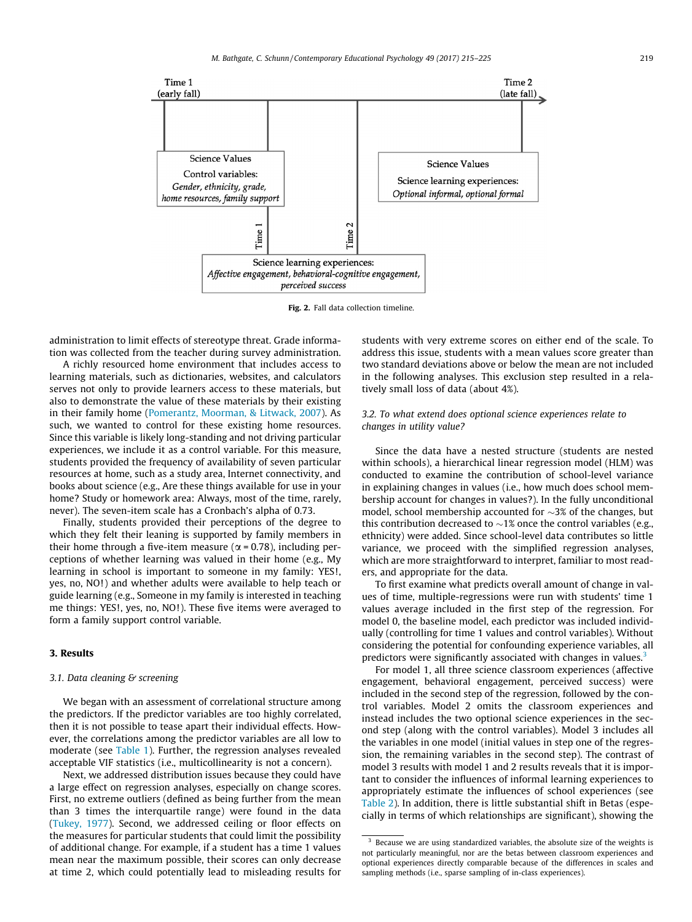<span id="page-4-0"></span>

Fig. 2. Fall data collection timeline.

administration to limit effects of stereotype threat. Grade information was collected from the teacher during survey administration.

A richly resourced home environment that includes access to learning materials, such as dictionaries, websites, and calculators serves not only to provide learners access to these materials, but also to demonstrate the value of these materials by their existing in their family home [\(Pomerantz, Moorman, & Litwack, 2007\)](#page-9-0). As such, we wanted to control for these existing home resources. Since this variable is likely long-standing and not driving particular experiences, we include it as a control variable. For this measure, students provided the frequency of availability of seven particular resources at home, such as a study area, Internet connectivity, and books about science (e.g., Are these things available for use in your home? Study or homework area: Always, most of the time, rarely, never). The seven-item scale has a Cronbach's alpha of 0.73.

Finally, students provided their perceptions of the degree to which they felt their leaning is supported by family members in their home through a five-item measure ( $\alpha$  = 0.78), including perceptions of whether learning was valued in their home (e.g., My learning in school is important to someone in my family: YES!, yes, no, NO!) and whether adults were available to help teach or guide learning (e.g., Someone in my family is interested in teaching me things: YES!, yes, no, NO!). These five items were averaged to form a family support control variable.

#### 3. Results

#### 3.1. Data cleaning & screening

We began with an assessment of correlational structure among the predictors. If the predictor variables are too highly correlated, then it is not possible to tease apart their individual effects. However, the correlations among the predictor variables are all low to moderate (see [Table 1](#page-5-0)). Further, the regression analyses revealed acceptable VIF statistics (i.e., multicollinearity is not a concern).

Next, we addressed distribution issues because they could have a large effect on regression analyses, especially on change scores. First, no extreme outliers (defined as being further from the mean than 3 times the interquartile range) were found in the data ([Tukey, 1977](#page-10-0)). Second, we addressed ceiling or floor effects on the measures for particular students that could limit the possibility of additional change. For example, if a student has a time 1 values mean near the maximum possible, their scores can only decrease at time 2, which could potentially lead to misleading results for students with very extreme scores on either end of the scale. To address this issue, students with a mean values score greater than two standard deviations above or below the mean are not included in the following analyses. This exclusion step resulted in a relatively small loss of data (about 4%).

### 3.2. To what extend does optional science experiences relate to changes in utility value?

Since the data have a nested structure (students are nested within schools), a hierarchical linear regression model (HLM) was conducted to examine the contribution of school-level variance in explaining changes in values (i.e., how much does school membership account for changes in values?). In the fully unconditional model, school membership accounted for  $\sim$ 3% of the changes, but this contribution decreased to  $\sim$ 1% once the control variables (e.g., ethnicity) were added. Since school-level data contributes so little variance, we proceed with the simplified regression analyses, which are more straightforward to interpret, familiar to most readers, and appropriate for the data.

To first examine what predicts overall amount of change in values of time, multiple-regressions were run with students' time 1 values average included in the first step of the regression. For model 0, the baseline model, each predictor was included individually (controlling for time 1 values and control variables). Without considering the potential for confounding experience variables, all predictors were significantly associated with changes in values.<sup>3</sup>

For model 1, all three science classroom experiences (affective engagement, behavioral engagement, perceived success) were included in the second step of the regression, followed by the control variables. Model 2 omits the classroom experiences and instead includes the two optional science experiences in the second step (along with the control variables). Model 3 includes all the variables in one model (initial values in step one of the regression, the remaining variables in the second step). The contrast of model 3 results with model 1 and 2 results reveals that it is important to consider the influences of informal learning experiences to appropriately estimate the influences of school experiences (see [Table 2](#page-5-0)). In addition, there is little substantial shift in Betas (especially in terms of which relationships are significant), showing the

 $3$  Because we are using standardized variables, the absolute size of the weights is not particularly meaningful, nor are the betas between classroom experiences and optional experiences directly comparable because of the differences in scales and sampling methods (i.e., sparse sampling of in-class experiences).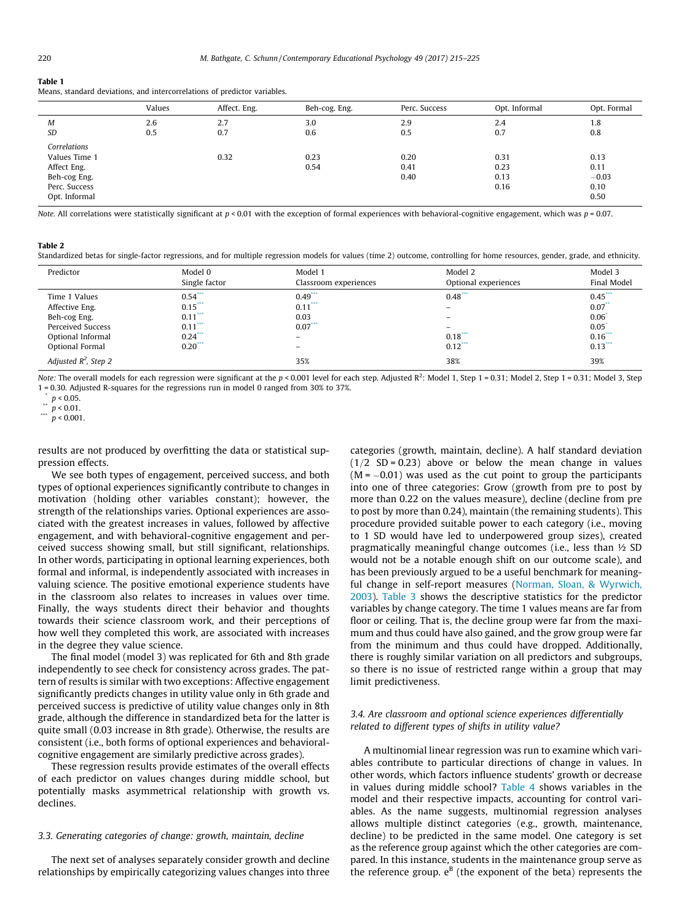#### <span id="page-5-0"></span>Table 1

Means, standard deviations, and intercorrelations of predictor variables.

|                                                                                                | Values     | Affect. Eng. | Beh-cog. Eng. | Perc. Success        | Opt. Informal                | Opt. Formal                             |
|------------------------------------------------------------------------------------------------|------------|--------------|---------------|----------------------|------------------------------|-----------------------------------------|
| М<br>SD                                                                                        | 2.6<br>0.5 | 2.7<br>0.7   | 3.0<br>0.6    | 2.9<br>0.5           | 2.4<br>0.7                   | 1.8<br>0.8                              |
| Correlations<br>Values Time 1<br>Affect Eng.<br>Beh-cog Eng.<br>Perc. Success<br>Opt. Informal |            | 0.32         | 0.23<br>0.54  | 0.20<br>0.41<br>0.40 | 0.31<br>0.23<br>0.13<br>0.16 | 0.13<br>0.11<br>$-0.03$<br>0.10<br>0.50 |

Note. All correlations were statistically significant at  $p < 0.01$  with the exception of formal experiences with behavioral-cognitive engagement, which was  $p = 0.07$ .

#### Table 2

Standardized betas for single-factor regressions, and for multiple regression models for values (time 2) outcome, controlling for home resources, gender, grade, and ethnicity.

| Predictor               | Model 0<br>Single factor | Model 1<br>Classroom experiences | Model 2<br>Optional experiences | Model 3<br>Final Model |
|-------------------------|--------------------------|----------------------------------|---------------------------------|------------------------|
| Time 1 Values           | $0.54$ $\cdots$          | $0.49$ $\cdots$                  | 0.48                            | $0.45$ ***             |
| Affective Eng.          | $0.15$ <sup>***</sup>    | $0.11$ ***                       | $\overline{\phantom{0}}$        | $0.07^{\degree}$       |
| Beh-cog Eng.            | $0.11$ $\cdots$          | 0.03                             | $\overline{\phantom{0}}$        | 0.06                   |
| Perceived Success       | $0.11$ $\cdots$          | $0.07$ <sup>***</sup>            | -                               | 0.05                   |
| Optional Informal       | $0.24$ $\cdots$          | $\overline{\phantom{0}}$         | $0.18$ ***                      | $0.16$ <sup>***</sup>  |
| Optional Formal         | 0.20                     |                                  | $0.12$ $\cdots$                 | $0.13$ ***             |
| Adjusted $R^2$ , Step 2 |                          | 35%                              | 38%                             | 39%                    |

Note: The overall models for each regression were significant at the p < 0.001 level for each step. Adjusted  $R^2$ : Model 1, Step 1 = 0.31; Model 2, Step 1 = 0.31; Model 3, Step 1 = 0.30. Adjusted R-squares for the regressions run in model 0 ranged from 30% to 37%.

 $p < 0.05$ .

 $p < 0.001$ .

results are not produced by overfitting the data or statistical suppression effects.

We see both types of engagement, perceived success, and both types of optional experiences significantly contribute to changes in motivation (holding other variables constant); however, the strength of the relationships varies. Optional experiences are associated with the greatest increases in values, followed by affective engagement, and with behavioral-cognitive engagement and perceived success showing small, but still significant, relationships. In other words, participating in optional learning experiences, both formal and informal, is independently associated with increases in valuing science. The positive emotional experience students have in the classroom also relates to increases in values over time. Finally, the ways students direct their behavior and thoughts towards their science classroom work, and their perceptions of how well they completed this work, are associated with increases in the degree they value science.

The final model (model 3) was replicated for 6th and 8th grade independently to see check for consistency across grades. The pattern of results is similar with two exceptions: Affective engagement significantly predicts changes in utility value only in 6th grade and perceived success is predictive of utility value changes only in 8th grade, although the difference in standardized beta for the latter is quite small (0.03 increase in 8th grade). Otherwise, the results are consistent (i.e., both forms of optional experiences and behavioralcognitive engagement are similarly predictive across grades).

These regression results provide estimates of the overall effects of each predictor on values changes during middle school, but potentially masks asymmetrical relationship with growth vs. declines.

#### 3.3. Generating categories of change: growth, maintain, decline

The next set of analyses separately consider growth and decline relationships by empirically categorizing values changes into three categories (growth, maintain, decline). A half standard deviation  $(1/2$  SD = 0.23) above or below the mean change in values  $(M = -0.01)$  was used as the cut point to group the participants into one of three categories: Grow (growth from pre to post by more than 0.22 on the values measure), decline (decline from pre to post by more than 0.24), maintain (the remaining students). This procedure provided suitable power to each category (i.e., moving to 1 SD would have led to underpowered group sizes), created pragmatically meaningful change outcomes (i.e., less than ½ SD would not be a notable enough shift on our outcome scale), and has been previously argued to be a useful benchmark for meaningful change in self-report measures [\(Norman, Sloan, & Wyrwich,](#page-9-0) [2003\)](#page-9-0). [Table 3](#page-6-0) shows the descriptive statistics for the predictor variables by change category. The time 1 values means are far from floor or ceiling. That is, the decline group were far from the maximum and thus could have also gained, and the grow group were far from the minimum and thus could have dropped. Additionally, there is roughly similar variation on all predictors and subgroups, so there is no issue of restricted range within a group that may limit predictiveness.

## 3.4. Are classroom and optional science experiences differentially related to different types of shifts in utility value?

A multinomial linear regression was run to examine which variables contribute to particular directions of change in values. In other words, which factors influence students' growth or decrease in values during middle school? [Table 4](#page-6-0) shows variables in the model and their respective impacts, accounting for control variables. As the name suggests, multinomial regression analyses allows multiple distinct categories (e.g., growth, maintenance, decline) to be predicted in the same model. One category is set as the reference group against which the other categories are compared. In this instance, students in the maintenance group serve as the reference group.  $e^{B}$  (the exponent of the beta) represents the

 $p < 0.01$ .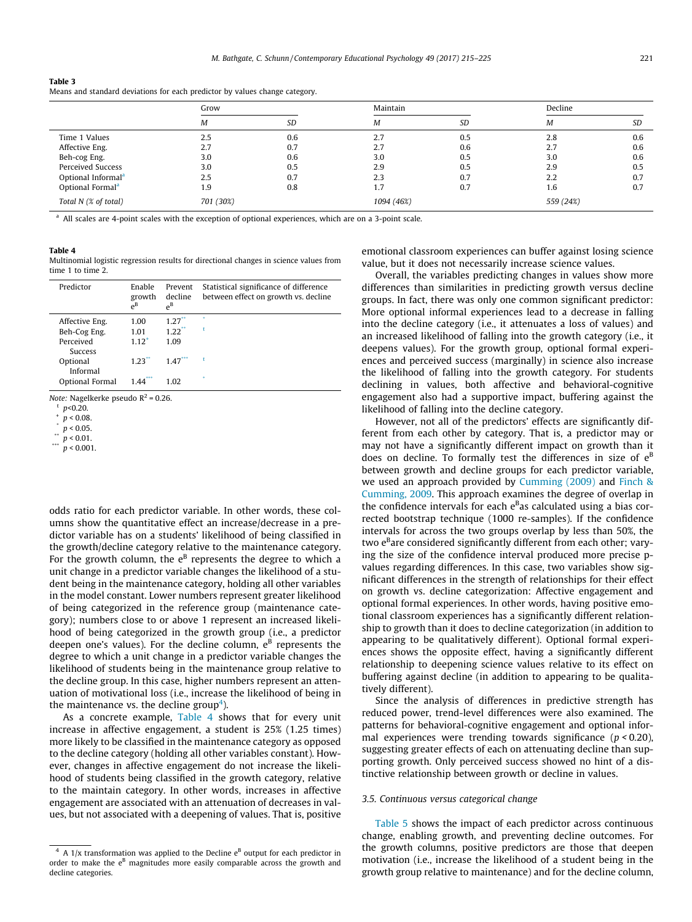<span id="page-6-0"></span>

| Table 3                                                                     |
|-----------------------------------------------------------------------------|
| Means and standard deviations for each predictor by values change category. |

|                                | Grow      |     | Maintain   |     | Decline   |     |
|--------------------------------|-----------|-----|------------|-----|-----------|-----|
|                                | М         | SD  | М          | SD  | М         | SD  |
| Time 1 Values                  | 2.5       | 0.6 | 2.7        | 0.5 | 2.8       | 0.6 |
| Affective Eng.                 | 2.7       | 0.7 | 2.7        | 0.6 | 2.7       | 0.6 |
| Beh-cog Eng.                   | 3.0       | 0.6 | 3.0        | 0.5 | 3.0       | 0.6 |
| Perceived Success              | 3.0       | 0.5 | 2.9        | 0.5 | 2.9       | 0.5 |
| Optional Informal <sup>a</sup> | 2.5       | 0.7 | 2.3        | 0.7 | 2.2       | 0.7 |
| Optional Formal <sup>a</sup>   | 1.9       | 0.8 | 1.7        | 0.7 | 1.6       | 0.7 |
| Total N (% of total)           | 701 (30%) |     | 1094 (46%) |     | 559 (24%) |     |

<sup>a</sup> All scales are 4-point scales with the exception of optional experiences, which are on a 3-point scale.

#### Table 4

Multinomial logistic regression results for directional changes in science values from time 1 to time 2.

| Predictor       | Enable<br>growth<br>$e^{B}$ | Prevent<br>decline<br>$e^{B}$ | Statistical significance of difference<br>between effect on growth vs. decline |
|-----------------|-----------------------------|-------------------------------|--------------------------------------------------------------------------------|
| Affective Eng.  | 1.00                        | 1.27                          |                                                                                |
| Beh-Cog Eng.    | 1.01                        | 1.22                          |                                                                                |
| Perceived       | $1.12^{+}$                  | 1.09                          |                                                                                |
| <b>Success</b>  |                             |                               |                                                                                |
| Optional        | $1.23$ <sup>**</sup>        | 147                           |                                                                                |
| Informal        |                             |                               |                                                                                |
| Optional Formal | 1 44                        | 1.02                          |                                                                                |
|                 |                             |                               |                                                                                |

Note: Nagelkerke pseudo  $R^2$  = 0.26.

 $p < 0.20$ .

 $p < 0.05$ .

 $\frac{m}{n}$  p < 0.01.

 $p < 0.001$ .

odds ratio for each predictor variable. In other words, these columns show the quantitative effect an increase/decrease in a predictor variable has on a students' likelihood of being classified in the growth/decline category relative to the maintenance category. For the growth column, the  $e^B$  represents the degree to which a unit change in a predictor variable changes the likelihood of a student being in the maintenance category, holding all other variables in the model constant. Lower numbers represent greater likelihood of being categorized in the reference group (maintenance category); numbers close to or above 1 represent an increased likelihood of being categorized in the growth group (i.e., a predictor deepen one's values). For the decline column,  $e^B$  represents the degree to which a unit change in a predictor variable changes the likelihood of students being in the maintenance group relative to the decline group. In this case, higher numbers represent an attenuation of motivational loss (i.e., increase the likelihood of being in the maintenance vs. the decline group<sup>4</sup>).

As a concrete example, Table 4 shows that for every unit increase in affective engagement, a student is 25% (1.25 times) more likely to be classified in the maintenance category as opposed to the decline category (holding all other variables constant). However, changes in affective engagement do not increase the likelihood of students being classified in the growth category, relative to the maintain category. In other words, increases in affective engagement are associated with an attenuation of decreases in values, but not associated with a deepening of values. That is, positive emotional classroom experiences can buffer against losing science value, but it does not necessarily increase science values.

Overall, the variables predicting changes in values show more differences than similarities in predicting growth versus decline groups. In fact, there was only one common significant predictor: More optional informal experiences lead to a decrease in falling into the decline category (i.e., it attenuates a loss of values) and an increased likelihood of falling into the growth category (i.e., it deepens values). For the growth group, optional formal experiences and perceived success (marginally) in science also increase the likelihood of falling into the growth category. For students declining in values, both affective and behavioral-cognitive engagement also had a supportive impact, buffering against the likelihood of falling into the decline category.

However, not all of the predictors' effects are significantly different from each other by category. That is, a predictor may or may not have a significantly different impact on growth than it does on decline. To formally test the differences in size of  $e^B$ between growth and decline groups for each predictor variable, we used an approach provided by [Cumming \(2009\)](#page-9-0) and [Finch &](#page-9-0) [Cumming, 2009.](#page-9-0) This approach examines the degree of overlap in the confidence intervals for each  $e^{B}$ as calculated using a bias corrected bootstrap technique (1000 re-samples). If the confidence intervals for across the two groups overlap by less than 50%, the two e<sup>B</sup>are considered significantly different from each other; varying the size of the confidence interval produced more precise pvalues regarding differences. In this case, two variables show significant differences in the strength of relationships for their effect on growth vs. decline categorization: Affective engagement and optional formal experiences. In other words, having positive emotional classroom experiences has a significantly different relationship to growth than it does to decline categorization (in addition to appearing to be qualitatively different). Optional formal experiences shows the opposite effect, having a significantly different relationship to deepening science values relative to its effect on buffering against decline (in addition to appearing to be qualitatively different).

Since the analysis of differences in predictive strength has reduced power, trend-level differences were also examined. The patterns for behavioral-cognitive engagement and optional informal experiences were trending towards significance  $(p < 0.20)$ , suggesting greater effects of each on attenuating decline than supporting growth. Only perceived success showed no hint of a distinctive relationship between growth or decline in values.

#### 3.5. Continuous versus categorical change

[Table 5](#page-7-0) shows the impact of each predictor across continuous change, enabling growth, and preventing decline outcomes. For the growth columns, positive predictors are those that deepen motivation (i.e., increase the likelihood of a student being in the growth group relative to maintenance) and for the decline column,

 $p < 0.08$ .

 $4$  A 1/x transformation was applied to the Decline  $e^B$  output for each predictor in order to make the  $e^B$  magnitudes more easily comparable across the growth and decline categories.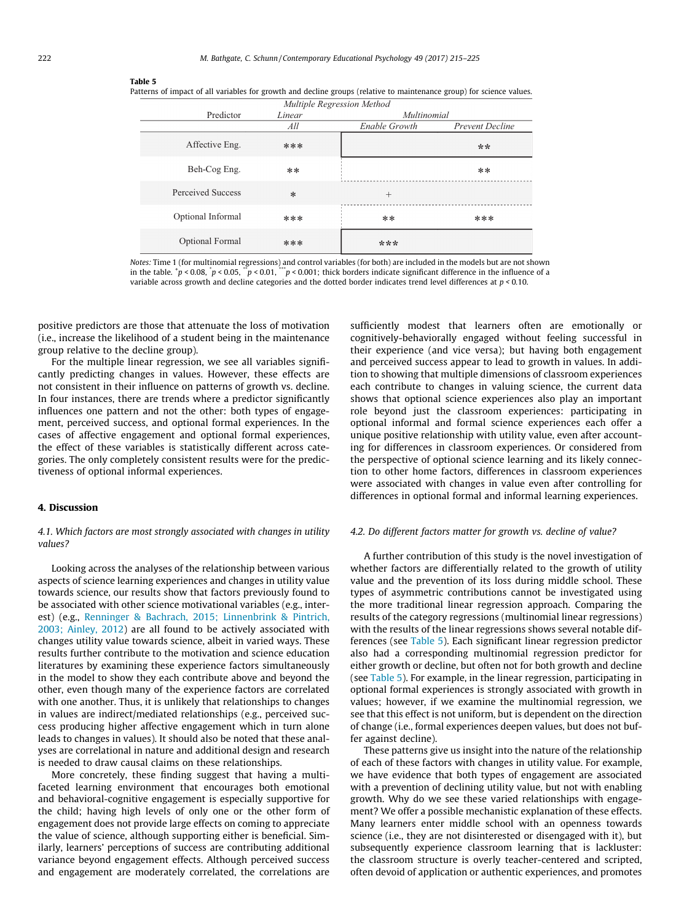| Multiple Regression Method |        |               |                        |  |  |  |
|----------------------------|--------|---------------|------------------------|--|--|--|
| Predictor                  | Linear | Multinomial   |                        |  |  |  |
|                            | All    | Enable Growth | <b>Prevent Decline</b> |  |  |  |
| Affective Eng.             | ***    |               | **                     |  |  |  |
| Beh-Cog Eng.               | $***$  |               | $***$                  |  |  |  |
| Perceived Success          | $\ast$ | $^{+}$        |                        |  |  |  |
| Optional Informal          | ***    | $***$         | ***                    |  |  |  |
| Optional Formal            | ***    | ***           |                        |  |  |  |

#### <span id="page-7-0"></span>Table 5

Patterns of impact of all variables for growth and decline groups (relative to maintenance group) for science values.

Notes: Time 1 (for multinomial regressions) and control variables (for both) are included in the models but are not shown in the table.  $\phi$  < 0.08,  $\phi$  < 0.05,  $\phi$  < 0.01,  $\phi$  < 0.001; thick borders indicate significant difference in the influence of a variable across growth and decline categories and the dotted border indicates trend level differences at  $p < 0.10$ .

positive predictors are those that attenuate the loss of motivation (i.e., increase the likelihood of a student being in the maintenance group relative to the decline group).

For the multiple linear regression, we see all variables significantly predicting changes in values. However, these effects are not consistent in their influence on patterns of growth vs. decline. In four instances, there are trends where a predictor significantly influences one pattern and not the other: both types of engagement, perceived success, and optional formal experiences. In the cases of affective engagement and optional formal experiences, the effect of these variables is statistically different across categories. The only completely consistent results were for the predictiveness of optional informal experiences.

#### 4. Discussion

4.1. Which factors are most strongly associated with changes in utility values?

Looking across the analyses of the relationship between various aspects of science learning experiences and changes in utility value towards science, our results show that factors previously found to be associated with other science motivational variables (e.g., interest) (e.g., [Renninger & Bachrach, 2015; Linnenbrink & Pintrich,](#page-9-0) [2003; Ainley, 2012\)](#page-9-0) are all found to be actively associated with changes utility value towards science, albeit in varied ways. These results further contribute to the motivation and science education literatures by examining these experience factors simultaneously in the model to show they each contribute above and beyond the other, even though many of the experience factors are correlated with one another. Thus, it is unlikely that relationships to changes in values are indirect/mediated relationships (e.g., perceived success producing higher affective engagement which in turn alone leads to changes in values). It should also be noted that these analyses are correlational in nature and additional design and research is needed to draw causal claims on these relationships.

More concretely, these finding suggest that having a multifaceted learning environment that encourages both emotional and behavioral-cognitive engagement is especially supportive for the child; having high levels of only one or the other form of engagement does not provide large effects on coming to appreciate the value of science, although supporting either is beneficial. Similarly, learners' perceptions of success are contributing additional variance beyond engagement effects. Although perceived success and engagement are moderately correlated, the correlations are sufficiently modest that learners often are emotionally or cognitively-behaviorally engaged without feeling successful in their experience (and vice versa); but having both engagement and perceived success appear to lead to growth in values. In addition to showing that multiple dimensions of classroom experiences each contribute to changes in valuing science, the current data shows that optional science experiences also play an important role beyond just the classroom experiences: participating in optional informal and formal science experiences each offer a unique positive relationship with utility value, even after accounting for differences in classroom experiences. Or considered from the perspective of optional science learning and its likely connection to other home factors, differences in classroom experiences were associated with changes in value even after controlling for differences in optional formal and informal learning experiences.

#### 4.2. Do different factors matter for growth vs. decline of value?

A further contribution of this study is the novel investigation of whether factors are differentially related to the growth of utility value and the prevention of its loss during middle school. These types of asymmetric contributions cannot be investigated using the more traditional linear regression approach. Comparing the results of the category regressions (multinomial linear regressions) with the results of the linear regressions shows several notable differences (see Table 5). Each significant linear regression predictor also had a corresponding multinomial regression predictor for either growth or decline, but often not for both growth and decline (see Table 5). For example, in the linear regression, participating in optional formal experiences is strongly associated with growth in values; however, if we examine the multinomial regression, we see that this effect is not uniform, but is dependent on the direction of change (i.e., formal experiences deepen values, but does not buffer against decline).

These patterns give us insight into the nature of the relationship of each of these factors with changes in utility value. For example, we have evidence that both types of engagement are associated with a prevention of declining utility value, but not with enabling growth. Why do we see these varied relationships with engagement? We offer a possible mechanistic explanation of these effects. Many learners enter middle school with an openness towards science (i.e., they are not disinterested or disengaged with it), but subsequently experience classroom learning that is lackluster: the classroom structure is overly teacher-centered and scripted, often devoid of application or authentic experiences, and promotes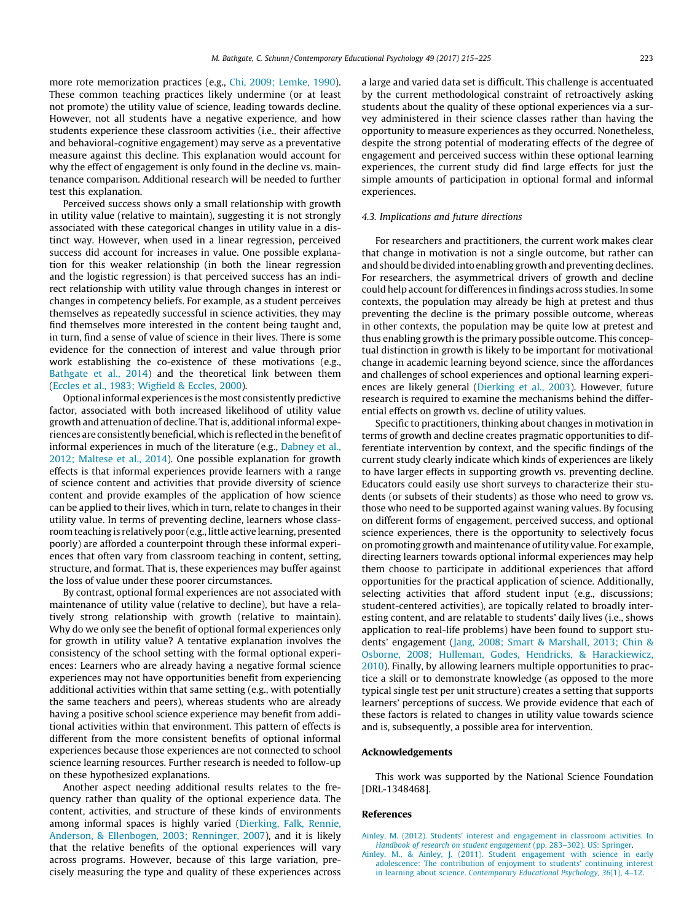<span id="page-8-0"></span>more rote memorization practices (e.g., [Chi, 2009; Lemke, 1990\)](#page-9-0). These common teaching practices likely undermine (or at least not promote) the utility value of science, leading towards decline. However, not all students have a negative experience, and how students experience these classroom activities (i.e., their affective and behavioral-cognitive engagement) may serve as a preventative measure against this decline. This explanation would account for why the effect of engagement is only found in the decline vs. maintenance comparison. Additional research will be needed to further test this explanation.

Perceived success shows only a small relationship with growth in utility value (relative to maintain), suggesting it is not strongly associated with these categorical changes in utility value in a distinct way. However, when used in a linear regression, perceived success did account for increases in value. One possible explanation for this weaker relationship (in both the linear regression and the logistic regression) is that perceived success has an indirect relationship with utility value through changes in interest or changes in competency beliefs. For example, as a student perceives themselves as repeatedly successful in science activities, they may find themselves more interested in the content being taught and, in turn, find a sense of value of science in their lives. There is some evidence for the connection of interest and value through prior work establishing the co-existence of these motivations (e.g., [Bathgate et al., 2014](#page-9-0)) and the theoretical link between them ([Eccles et al., 1983; Wigfield & Eccles, 2000](#page-9-0)).

Optional informal experiences is the most consistently predictive factor, associated with both increased likelihood of utility value growth and attenuation of decline. That is, additional informal experiences are consistently beneficial, which is reflected in the benefit of informal experiences in much of the literature (e.g., [Dabney et al.,](#page-9-0) [2012; Maltese et al., 2014\)](#page-9-0). One possible explanation for growth effects is that informal experiences provide learners with a range of science content and activities that provide diversity of science content and provide examples of the application of how science can be applied to their lives, which in turn, relate to changes in their utility value. In terms of preventing decline, learners whose classroom teaching is relatively poor (e.g., little active learning, presented poorly) are afforded a counterpoint through these informal experiences that often vary from classroom teaching in content, setting, structure, and format. That is, these experiences may buffer against the loss of value under these poorer circumstances.

By contrast, optional formal experiences are not associated with maintenance of utility value (relative to decline), but have a relatively strong relationship with growth (relative to maintain). Why do we only see the benefit of optional formal experiences only for growth in utility value? A tentative explanation involves the consistency of the school setting with the formal optional experiences: Learners who are already having a negative formal science experiences may not have opportunities benefit from experiencing additional activities within that same setting (e.g., with potentially the same teachers and peers), whereas students who are already having a positive school science experience may benefit from additional activities within that environment. This pattern of effects is different from the more consistent benefits of optional informal experiences because those experiences are not connected to school science learning resources. Further research is needed to follow-up on these hypothesized explanations.

Another aspect needing additional results relates to the frequency rather than quality of the optional experience data. The content, activities, and structure of these kinds of environments among informal spaces is highly varied [\(Dierking, Falk, Rennie,](#page-9-0) [Anderson, & Ellenbogen, 2003; Renninger, 2007](#page-9-0)), and it is likely that the relative benefits of the optional experiences will vary across programs. However, because of this large variation, precisely measuring the type and quality of these experiences across a large and varied data set is difficult. This challenge is accentuated by the current methodological constraint of retroactively asking students about the quality of these optional experiences via a survey administered in their science classes rather than having the opportunity to measure experiences as they occurred. Nonetheless, despite the strong potential of moderating effects of the degree of engagement and perceived success within these optional learning experiences, the current study did find large effects for just the simple amounts of participation in optional formal and informal experiences.

#### 4.3. Implications and future directions

For researchers and practitioners, the current work makes clear that change in motivation is not a single outcome, but rather can and should be divided into enabling growth and preventing declines. For researchers, the asymmetrical drivers of growth and decline could help account for differences in findings across studies. In some contexts, the population may already be high at pretest and thus preventing the decline is the primary possible outcome, whereas in other contexts, the population may be quite low at pretest and thus enabling growth is the primary possible outcome. This conceptual distinction in growth is likely to be important for motivational change in academic learning beyond science, since the affordances and challenges of school experiences and optional learning experiences are likely general ([Dierking et al., 2003](#page-9-0)). However, future research is required to examine the mechanisms behind the differential effects on growth vs. decline of utility values.

Specific to practitioners, thinking about changes in motivation in terms of growth and decline creates pragmatic opportunities to differentiate intervention by context, and the specific findings of the current study clearly indicate which kinds of experiences are likely to have larger effects in supporting growth vs. preventing decline. Educators could easily use short surveys to characterize their students (or subsets of their students) as those who need to grow vs. those who need to be supported against waning values. By focusing on different forms of engagement, perceived success, and optional science experiences, there is the opportunity to selectively focus on promoting growth and maintenance of utility value. For example, directing learners towards optional informal experiences may help them choose to participate in additional experiences that afford opportunities for the practical application of science. Additionally, selecting activities that afford student input (e.g., discussions; student-centered activities), are topically related to broadly interesting content, and are relatable to students' daily lives (i.e., shows application to real-life problems) have been found to support students' engagement ([Jang, 2008; Smart & Marshall, 2013; Chin &](#page-9-0) [Osborne, 2008; Hulleman, Godes, Hendricks, & Harackiewicz,](#page-9-0) [2010](#page-9-0)). Finally, by allowing learners multiple opportunities to practice a skill or to demonstrate knowledge (as opposed to the more typical single test per unit structure) creates a setting that supports learners' perceptions of success. We provide evidence that each of these factors is related to changes in utility value towards science and is, subsequently, a possible area for intervention.

#### Acknowledgements

This work was supported by the National Science Foundation [DRL-1348468].

#### References

[Ainley, M. \(2012\). Students' interest and engagement in classroom activities. In](http://refhub.elsevier.com/S0361-476X(17)30023-1/h0005) [Handbook of research on student engagement](http://refhub.elsevier.com/S0361-476X(17)30023-1/h0005) (pp. 283–302). US: Springer.

[Ainley, M., & Ainley, J. \(2011\). Student engagement with science in early](http://refhub.elsevier.com/S0361-476X(17)30023-1/h0010) [adolescence: The contribution of enjoyment to students' continuing interest](http://refhub.elsevier.com/S0361-476X(17)30023-1/h0010) in learning about science. [Contemporary Educational Psychology, 36](http://refhub.elsevier.com/S0361-476X(17)30023-1/h0010)(1), 4–12.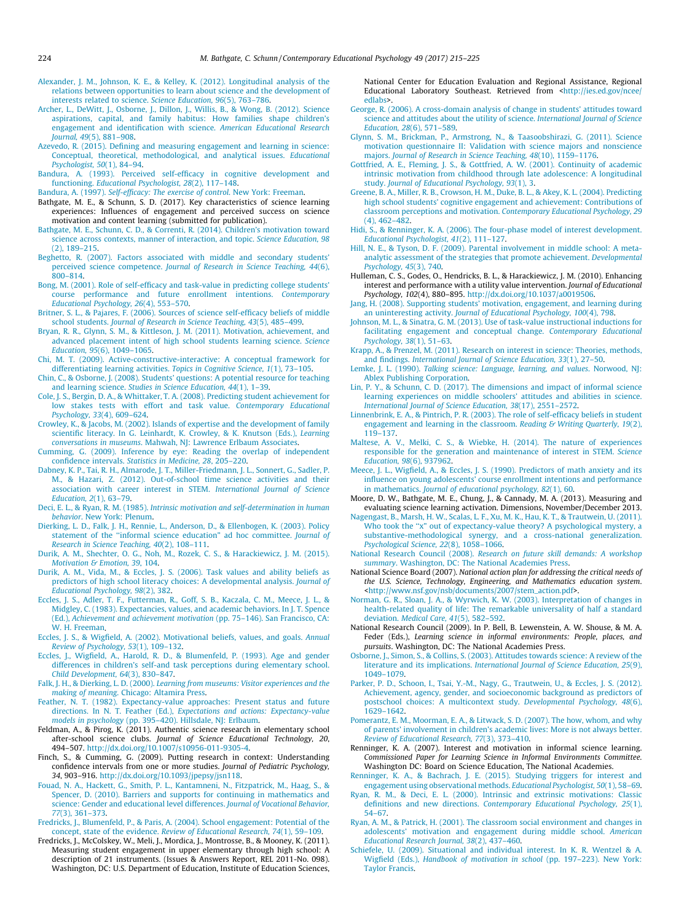- <span id="page-9-0"></span>[Alexander, J. M., Johnson, K. E., & Kelley, K. \(2012\). Longitudinal analysis of the](http://refhub.elsevier.com/S0361-476X(17)30023-1/h0015) [relations between opportunities to learn about science and the development of](http://refhub.elsevier.com/S0361-476X(17)30023-1/h0015) [interests related to science.](http://refhub.elsevier.com/S0361-476X(17)30023-1/h0015) Science Education, 96(5), 763–786.
- [Archer, L., DeWitt, J., Osborne, J., Dillon, J., Willis, B., & Wong, B. \(2012\). Science](http://refhub.elsevier.com/S0361-476X(17)30023-1/h0020) [aspirations, capital, and family habitus: How families shape children's](http://refhub.elsevier.com/S0361-476X(17)30023-1/h0020) [engagement and identification with science.](http://refhub.elsevier.com/S0361-476X(17)30023-1/h0020) American Educational Research Journal, 49[\(5\), 881–908](http://refhub.elsevier.com/S0361-476X(17)30023-1/h0020).
- [Azevedo, R. \(2015\). Defining and measuring engagement and learning in science:](http://refhub.elsevier.com/S0361-476X(17)30023-1/h0025) [Conceptual, theoretical, methodological, and analytical issues.](http://refhub.elsevier.com/S0361-476X(17)30023-1/h0025) Educational [Psychologist, 50](http://refhub.elsevier.com/S0361-476X(17)30023-1/h0025)(1), 84–94.
- [Bandura, A. \(1993\). Perceived self-efficacy in cognitive development and](http://refhub.elsevier.com/S0361-476X(17)30023-1/h0030) functioning. [Educational Psychologist, 28](http://refhub.elsevier.com/S0361-476X(17)30023-1/h0030)(2), 117–148.
- Bandura, A. (1997). [Self-efficacy: The exercise of control](http://refhub.elsevier.com/S0361-476X(17)30023-1/h0035). New York: Freeman
- Bathgate, M. E., & Schunn, S. D. (2017). Key characteristics of science learning experiences: Influences of engagement and perceived success on science motivation and content learning (submitted for publication).
- [Bathgate, M. E., Schunn, C. D., & Correnti, R. \(2014\). Children's motivation toward](http://refhub.elsevier.com/S0361-476X(17)30023-1/h0050) [science across contexts, manner of interaction, and topic.](http://refhub.elsevier.com/S0361-476X(17)30023-1/h0050) Science Education, 98 [\(2\), 189–215.](http://refhub.elsevier.com/S0361-476X(17)30023-1/h0050)
- [Beghetto, R. \(2007\). Factors associated with middle and secondary students'](http://refhub.elsevier.com/S0361-476X(17)30023-1/h0055) perceived science competence. [Journal of Research in Science Teaching, 44](http://refhub.elsevier.com/S0361-476X(17)30023-1/h0055)(6), [800–814](http://refhub.elsevier.com/S0361-476X(17)30023-1/h0055).
- [Bong, M. \(2001\). Role of self-efficacy and task-value in predicting college students'](http://refhub.elsevier.com/S0361-476X(17)30023-1/h0060) [course performance and future enrollment intentions.](http://refhub.elsevier.com/S0361-476X(17)30023-1/h0060) Contemporary [Educational Psychology, 26](http://refhub.elsevier.com/S0361-476X(17)30023-1/h0060)(4), 553–570.
- [Britner, S. L., & Pajares, F. \(2006\). Sources of science self-efficacy beliefs of middle](http://refhub.elsevier.com/S0361-476X(17)30023-1/h0065) school students. [Journal of Research in Science Teaching, 43](http://refhub.elsevier.com/S0361-476X(17)30023-1/h0065)(5), 485–499.
- [Bryan, R. R., Glynn, S. M., & Kittleson, J. M. \(2011\). Motivation, achievement, and](http://refhub.elsevier.com/S0361-476X(17)30023-1/h0070) [advanced placement intent of high school students learning science.](http://refhub.elsevier.com/S0361-476X(17)30023-1/h0070) Science Education, 95[\(6\), 1049–1065.](http://refhub.elsevier.com/S0361-476X(17)30023-1/h0070)
- [Chi, M. T. \(2009\). Active-constructive-interactive: A conceptual framework for](http://refhub.elsevier.com/S0361-476X(17)30023-1/h0075) [differentiating learning activities.](http://refhub.elsevier.com/S0361-476X(17)30023-1/h0075) Topics in Cognitive Science, 1(1), 73–105.
- [Chin, C., & Osborne, J. \(2008\). Students' questions: A potential resource for teaching](http://refhub.elsevier.com/S0361-476X(17)30023-1/h0080) and learning science. [Studies in Science Education, 44](http://refhub.elsevier.com/S0361-476X(17)30023-1/h0080)(1), 1–39.
- [Cole, J. S., Bergin, D. A., & Whittaker, T. A. \(2008\). Predicting student achievement for](http://refhub.elsevier.com/S0361-476X(17)30023-1/h0085) [low stakes tests with effort and task value.](http://refhub.elsevier.com/S0361-476X(17)30023-1/h0085) Contemporary Educational [Psychology, 33](http://refhub.elsevier.com/S0361-476X(17)30023-1/h0085)(4), 609–624.
- [Crowley, K., & Jacobs, M. \(2002\). Islands of expertise and the development of family](http://refhub.elsevier.com/S0361-476X(17)30023-1/h0090) [scientific literacy. In G. Leinhardt, K. Crowley, & K. Knutson \(Eds.\),](http://refhub.elsevier.com/S0361-476X(17)30023-1/h0090) Learning conversations in museums[. Mahwah, NJ: Lawrence Erlbaum Associates](http://refhub.elsevier.com/S0361-476X(17)30023-1/h0090).
- [Cumming, G. \(2009\). Inference by eye: Reading the overlap of independent](http://refhub.elsevier.com/S0361-476X(17)30023-1/h0095) confidence intervals. [Statistics in Medicine, 28](http://refhub.elsevier.com/S0361-476X(17)30023-1/h0095), 205–220.
- [Dabney, K. P., Tai, R. H., Almarode, J. T., Miller-Friedmann, J. L., Sonnert, G., Sadler, P.](http://refhub.elsevier.com/S0361-476X(17)30023-1/h0100) [M., & Hazari, Z. \(2012\). Out-of-school time science activities and their](http://refhub.elsevier.com/S0361-476X(17)30023-1/h0100) [association with career interest in STEM.](http://refhub.elsevier.com/S0361-476X(17)30023-1/h0100) International Journal of Science [Education, 2](http://refhub.elsevier.com/S0361-476X(17)30023-1/h0100)(1), 63–79.
- Deci, E. L., & Ryan, R. M. (1985). [Intrinsic motivation and self-determination in human](http://refhub.elsevier.com/S0361-476X(17)30023-1/h0105) behavior[. New York: Plenum.](http://refhub.elsevier.com/S0361-476X(17)30023-1/h0105)
- [Dierking, L. D., Falk, J. H., Rennie, L., Anderson, D., & Ellenbogen, K. \(2003\). Policy](http://refhub.elsevier.com/S0361-476X(17)30023-1/h0110) [statement of the ''informal science education](http://refhub.elsevier.com/S0361-476X(17)30023-1/h0110)" [ad hoc committee.](http://refhub.elsevier.com/S0361-476X(17)30023-1/h0110) Journal of [Research in Science Teaching, 40](http://refhub.elsevier.com/S0361-476X(17)30023-1/h0110)(2), 108–111.
- [Durik, A. M., Shechter, O. G., Noh, M., Rozek, C. S., & Harackiewicz, J. M. \(2015\).](http://refhub.elsevier.com/S0361-476X(17)30023-1/h0115) [Motivation & Emotion, 39](http://refhub.elsevier.com/S0361-476X(17)30023-1/h0115), 104
- [Durik, A. M., Vida, M., & Eccles, J. S. \(2006\). Task values and ability beliefs as](http://refhub.elsevier.com/S0361-476X(17)30023-1/h0120) [predictors of high school literacy choices: A developmental analysis.](http://refhub.elsevier.com/S0361-476X(17)30023-1/h0120) Journal of [Educational Psychology, 98](http://refhub.elsevier.com/S0361-476X(17)30023-1/h0120)(2), 382.
- [Eccles, J. S., Adler, T. F., Futterman, R., Goff, S. B., Kaczala, C. M., Meece, J. L., &](http://refhub.elsevier.com/S0361-476X(17)30023-1/h0125) [Midgley, C. \(1983\). Expectancies, values, and academic behaviors. In J. T. Spence](http://refhub.elsevier.com/S0361-476X(17)30023-1/h0125) (Ed.), [Achievement and achievement motivation](http://refhub.elsevier.com/S0361-476X(17)30023-1/h0125) (pp. 75–146). San Francisco, CA: [W. H. Freeman](http://refhub.elsevier.com/S0361-476X(17)30023-1/h0125).
- [Eccles, J. S., & Wigfield, A. \(2002\). Motivational beliefs, values, and goals.](http://refhub.elsevier.com/S0361-476X(17)30023-1/h0130) Annual
- [Review of Psychology, 53](http://refhub.elsevier.com/S0361-476X(17)30023-1/h0130)(1), 109–132. [Eccles, J., Wigfield, A., Harold, R. D., & Blumenfeld, P. \(1993\). Age and gender](http://refhub.elsevier.com/S0361-476X(17)30023-1/h0135) [differences in children's self-and task perceptions during elementary school.](http://refhub.elsevier.com/S0361-476X(17)30023-1/h0135) [Child Development, 64](http://refhub.elsevier.com/S0361-476X(17)30023-1/h0135)(3), 830–847.
- Falk, J. H., & Dierking, L. D. (2000). [Learning from museums: Visitor experiences and the](http://refhub.elsevier.com/S0361-476X(17)30023-1/h0140) making of meaning[. Chicago: Altamira Press.](http://refhub.elsevier.com/S0361-476X(17)30023-1/h0140)
- [Feather, N. T. \(1982\). Expectancy-value approaches: Present status and future](http://refhub.elsevier.com/S0361-476X(17)30023-1/h0145) directions. In N. T. Feather (Ed.), [Expectations and actions: Expectancy-value](http://refhub.elsevier.com/S0361-476X(17)30023-1/h0145) models in psychology [\(pp. 395–420\). Hillsdale, NJ: Erlbaum](http://refhub.elsevier.com/S0361-476X(17)30023-1/h0145).
- Feldman, A., & Pirog, K. (2011). Authentic science research in elementary school after-school science clubs. Journal of Science Educational Technology, 20, 494–507. <http://dx.doi.org/10.1007/s10956-011-9305-4>.
- Finch, S., & Cumming, G. (2009). Putting research in context: Understanding confidence intervals from one or more studies. Journal of Pediatric Psychology, 34, 903–916. [http://dx.doi.org/10.1093/jpepsy/jsn118.](http://dx.doi.org/10.1093/jpepsy/jsn118)
- [Fouad, N. A., Hackett, G., Smith, P. L., Kantamneni, N., Fitzpatrick, M., Haag, S., &](http://refhub.elsevier.com/S0361-476X(17)30023-1/h0160) [Spencer, D. \(2010\). Barriers and supports for continuing in mathematics and](http://refhub.elsevier.com/S0361-476X(17)30023-1/h0160) [science: Gender and educational level differences.](http://refhub.elsevier.com/S0361-476X(17)30023-1/h0160) Journal of Vocational Behavior, 77[\(3\), 361–373.](http://refhub.elsevier.com/S0361-476X(17)30023-1/h0160)
- [Fredricks, J., Blumenfeld, P., & Paris, A. \(2004\). School engagement: Potential of the](http://refhub.elsevier.com/S0361-476X(17)30023-1/h0165) concept, state of the evidence. [Review of Educational Research, 74](http://refhub.elsevier.com/S0361-476X(17)30023-1/h0165)(1), 59–109.
- Fredricks, J., McColskey, W., Meli, J., Mordica, J., Montrosse, B., & Mooney, K. (2011). Measuring student engagement in upper elementary through high school: A description of 21 instruments. (Issues & Answers Report, REL 2011-No. 098). Washington, DC: U.S. Department of Education, Institute of Education Sciences,

National Center for Education Evaluation and Regional Assistance, Regional Educational Laboratory Southeast. Retrieved from <[http://ies.ed.gov/ncee/](http://ies.ed.gov/ncee/edlabs) [edlabs](http://ies.ed.gov/ncee/edlabs)>.

- [George, R. \(2006\). A cross-domain analysis of change in students' attitudes toward](http://refhub.elsevier.com/S0361-476X(17)30023-1/h0175) [science and attitudes about the utility of science.](http://refhub.elsevier.com/S0361-476X(17)30023-1/h0175) International Journal of Science [Education, 28](http://refhub.elsevier.com/S0361-476X(17)30023-1/h0175)(6), 571–589.
- [Glynn, S. M., Brickman, P., Armstrong, N., & Taasoobshirazi, G. \(2011\). Science](http://refhub.elsevier.com/S0361-476X(17)30023-1/h0180) [motivation questionnaire II: Validation with science majors and nonscience](http://refhub.elsevier.com/S0361-476X(17)30023-1/h0180) majors. [Journal of Research in Science Teaching, 48](http://refhub.elsevier.com/S0361-476X(17)30023-1/h0180)(10), 1159–1176.
- [Gottfried, A. E., Fleming, J. S., & Gottfried, A. W. \(2001\). Continuity of academic](http://refhub.elsevier.com/S0361-476X(17)30023-1/h0185) [intrinsic motivation from childhood through late adolescence: A longitudinal](http://refhub.elsevier.com/S0361-476X(17)30023-1/h0185) study. [Journal of Educational Psychology, 93](http://refhub.elsevier.com/S0361-476X(17)30023-1/h0185)(1), 3.
- [Greene, B. A., Miller, R. B., Crowson, H. M., Duke, B. L., & Akey, K. L. \(2004\). Predicting](http://refhub.elsevier.com/S0361-476X(17)30023-1/h0190) [high school students' cognitive engagement and achievement: Contributions of](http://refhub.elsevier.com/S0361-476X(17)30023-1/h0190) classroom perceptions and motivation. [Contemporary Educational Psychology, 29](http://refhub.elsevier.com/S0361-476X(17)30023-1/h0190)  $(4)$ ,  $462 - 482$
- [Hidi, S., & Renninger, K. A. \(2006\). The four-phase model of interest development.](http://refhub.elsevier.com/S0361-476X(17)30023-1/h0195) [Educational Psychologist, 41](http://refhub.elsevier.com/S0361-476X(17)30023-1/h0195)(2), 111–127.
- [Hill, N. E., & Tyson, D. F. \(2009\). Parental involvement in middle school: A meta](http://refhub.elsevier.com/S0361-476X(17)30023-1/h0200)[analytic assessment of the strategies that promote achievement.](http://refhub.elsevier.com/S0361-476X(17)30023-1/h0200) Developmental [Psychology, 45](http://refhub.elsevier.com/S0361-476X(17)30023-1/h0200)(3), 740.
- Hulleman, C. S., Godes, O., Hendricks, B. L., & Harackiewicz, J. M. (2010). Enhancing interest and performance with a utility value intervention. Journal of Educational Psychology, 102(4), 880–895. <http://dx.doi.org/10.1037/a0019506>.
- [Jang, H. \(2008\). Supporting students' motivation, engagement, and learning during](http://refhub.elsevier.com/S0361-476X(17)30023-1/h0210) an uninteresting activity. [Journal of Educational Psychology, 100](http://refhub.elsevier.com/S0361-476X(17)30023-1/h0210)(4), 798.
- [Johnson, M. L., & Sinatra, G. M. \(2013\). Use of task-value instructional inductions for](http://refhub.elsevier.com/S0361-476X(17)30023-1/h0215) [facilitating engagement and conceptual change.](http://refhub.elsevier.com/S0361-476X(17)30023-1/h0215) Contemporary Educational [Psychology, 38](http://refhub.elsevier.com/S0361-476X(17)30023-1/h0215)(1), 51–63.
- [Krapp, A., & Prenzel, M. \(2011\). Research on interest in science: Theories, methods,](http://refhub.elsevier.com/S0361-476X(17)30023-1/h0220) and findings. [International Journal of Science Education, 33](http://refhub.elsevier.com/S0361-476X(17)30023-1/h0220)(1), 27–50.
- Lemke, J. L. (1990). [Talking science: Language, learning, and values](http://refhub.elsevier.com/S0361-476X(17)30023-1/h0225). Norwood, NJ: [Ablex Publishing Corporation.](http://refhub.elsevier.com/S0361-476X(17)30023-1/h0225)
- [Lin, P. Y., & Schunn, C. D. \(2017\). The dimensions and impact of informal science](http://refhub.elsevier.com/S0361-476X(17)30023-1/h0230) [learning experiences on middle schoolers' attitudes and abilities in science.](http://refhub.elsevier.com/S0361-476X(17)30023-1/h0230) [International Journal of Science Education, 38](http://refhub.elsevier.com/S0361-476X(17)30023-1/h0230)(17), 2551–2572.
- [Linnenbrink, E. A., & Pintrich, P. R. \(2003\). The role of self-efficacy beliefs in student](http://refhub.elsevier.com/S0361-476X(17)30023-1/h0235) [engagement and learning in the classroom.](http://refhub.elsevier.com/S0361-476X(17)30023-1/h0235) Reading & Writing Quarterly, 19(2), [119–137](http://refhub.elsevier.com/S0361-476X(17)30023-1/h0235).
- [Maltese, A. V., Melki, C. S., & Wiebke, H. \(2014\). The nature of experiences](http://refhub.elsevier.com/S0361-476X(17)30023-1/h0240) [responsible for the generation and maintenance of interest in STEM.](http://refhub.elsevier.com/S0361-476X(17)30023-1/h0240) Science [Education, 98](http://refhub.elsevier.com/S0361-476X(17)30023-1/h0240)(6), 937962.
- [Meece, J. L., Wigfield, A., & Eccles, J. S. \(1990\). Predictors of math anxiety and its](http://refhub.elsevier.com/S0361-476X(17)30023-1/h0245) [influence on young adolescents' course enrollment intentions and performance](http://refhub.elsevier.com/S0361-476X(17)30023-1/h0245) in mathematics. [Journal of educational psychology, 82](http://refhub.elsevier.com/S0361-476X(17)30023-1/h0245)(1), 60.
- Moore, D. W., Bathgate, M. E., Chung, J., & Cannady, M. A. (2013). Measuring and evaluating science learning activation. Dimensions, November/December 2013.
- [Nagengast, B., Marsh, H. W., Scalas, L. F., Xu, M. K., Hau, K. T., & Trautwein, U. \(2011\).](http://refhub.elsevier.com/S0361-476X(17)30023-1/h0255) Who took the "x" out of expectancy-value theory? A psychological mystery, a [substantive-methodological synergy, and a cross-national generalization.](http://refhub.elsevier.com/S0361-476X(17)30023-1/h0255) [Psychological Science, 22](http://refhub.elsevier.com/S0361-476X(17)30023-1/h0255)(8), 1058–1066.
- National Research Council (2008). [Research on future skill demands: A workshop](http://refhub.elsevier.com/S0361-476X(17)30023-1/h0260) summary[. Washington, DC: The National Academies Press](http://refhub.elsevier.com/S0361-476X(17)30023-1/h0260).
- National Science Board (2007). National action plan for addressing the critical needs of the U.S. Science, Technology, Engineering, and Mathematics education system. [<http://www.nsf.gov/nsb/documents/2007/stem\\_action.pdf>](http://www.nsf.gov/nsb/documents/2007/stem_action.pdf).
- [Norman, G. R., Sloan, J. A., & Wyrwich, K. W. \(2003\). Interpretation of changes in](http://refhub.elsevier.com/S0361-476X(17)30023-1/h0270) [health-related quality of life: The remarkable universality of half a standard](http://refhub.elsevier.com/S0361-476X(17)30023-1/h0270) deviation. [Medical Care, 41](http://refhub.elsevier.com/S0361-476X(17)30023-1/h0270)(5), 582–592.
- National Research Council (2009). In P. Bell, B. Lewenstein, A. W. Shouse, & M. A. Feder (Eds.), Learning science in informal environments: People, places, and pursuits. Washington, DC: The National Academies Press.
- [Osborne, J., Simon, S., & Collins, S. \(2003\). Attitudes towards science: A review of the](http://refhub.elsevier.com/S0361-476X(17)30023-1/h0280) literature and its implications. [International Journal of Science Education, 25](http://refhub.elsevier.com/S0361-476X(17)30023-1/h0280)(9), [1049–1079.](http://refhub.elsevier.com/S0361-476X(17)30023-1/h0280)
- [Parker, P. D., Schoon, I., Tsai, Y.-M., Nagy, G., Trautwein, U., & Eccles, J. S. \(2012\).](http://refhub.elsevier.com/S0361-476X(17)30023-1/h0285) [Achievement, agency, gender, and socioeconomic background as predictors of](http://refhub.elsevier.com/S0361-476X(17)30023-1/h0285) [postschool choices: A multicontext study.](http://refhub.elsevier.com/S0361-476X(17)30023-1/h0285) Developmental Psychology, 48(6), [1629–1642](http://refhub.elsevier.com/S0361-476X(17)30023-1/h0285).
- [Pomerantz, E. M., Moorman, E. A., & Litwack, S. D. \(2007\). The how, whom, and why](http://refhub.elsevier.com/S0361-476X(17)30023-1/h0290) [of parents' involvement in children's academic lives: More is not always better.](http://refhub.elsevier.com/S0361-476X(17)30023-1/h0290) [Review of Educational Research, 77](http://refhub.elsevier.com/S0361-476X(17)30023-1/h0290)(3), 373–410.
- Renninger, K. A. (2007). Interest and motivation in informal science learning. Commissioned Paper for Learning Science in Informal Environments Committee. Washington DC: Board on Science Education, The National Academies.
- [Renninger, K. A., & Bachrach, J. E. \(2015\). Studying triggers for interest and](http://refhub.elsevier.com/S0361-476X(17)30023-1/h0300) [engagement using observational methods.](http://refhub.elsevier.com/S0361-476X(17)30023-1/h0300) Educational Psychologist, 50(1), 58–69.
- [Ryan, R. M., & Deci, E. L. \(2000\). Intrinsic and extrinsic motivations: Classic](http://refhub.elsevier.com/S0361-476X(17)30023-1/h0305) definitions and new directions. [Contemporary Educational Psychology, 25](http://refhub.elsevier.com/S0361-476X(17)30023-1/h0305)(1), [54–67.](http://refhub.elsevier.com/S0361-476X(17)30023-1/h0305)
- [Ryan, A. M., & Patrick, H. \(2001\). The classroom social environment and changes in](http://refhub.elsevier.com/S0361-476X(17)30023-1/h0310) [adolescents' motivation and engagement during middle school.](http://refhub.elsevier.com/S0361-476X(17)30023-1/h0310) American [Educational Research Journal, 38](http://refhub.elsevier.com/S0361-476X(17)30023-1/h0310)(2), 437–460.
- [Schiefele, U. \(2009\). Situational and individual interest. In K. R. Wentzel & A.](http://refhub.elsevier.com/S0361-476X(17)30023-1/h0315) Wigfield (Eds.), [Handbook of motivation in school](http://refhub.elsevier.com/S0361-476X(17)30023-1/h0315) (pp. 197–223). New York: [Taylor Francis](http://refhub.elsevier.com/S0361-476X(17)30023-1/h0315).